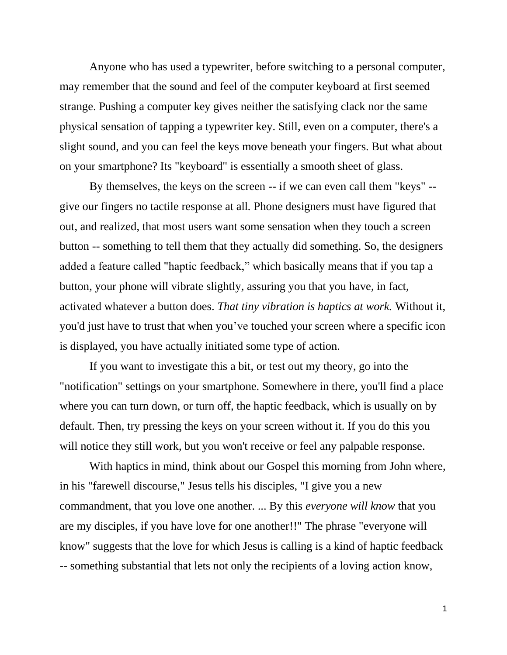Anyone who has used a typewriter, before switching to a personal computer, may remember that the sound and feel of the computer keyboard at first seemed strange. Pushing a computer key gives neither the satisfying clack nor the same physical sensation of tapping a typewriter key. Still, even on a computer, there's a slight sound, and you can feel the keys move beneath your fingers. But what about on your smartphone? Its "keyboard" is essentially a smooth sheet of glass.

By themselves, the keys on the screen -- if we can even call them "keys" - give our fingers no tactile response at all*.* Phone designers must have figured that out, and realized, that most users want some sensation when they touch a screen button -- something to tell them that they actually did something. So, the designers added a feature called "haptic feedback," which basically means that if you tap a button, your phone will vibrate slightly, assuring you that you have, in fact, activated whatever a button does. *That tiny vibration is haptics at work.* Without it, you'd just have to trust that when you've touched your screen where a specific icon is displayed, you have actually initiated some type of action.

If you want to investigate this a bit, or test out my theory, go into the "notification" settings on your smartphone. Somewhere in there, you'll find a place where you can turn down, or turn off, the haptic feedback, which is usually on by default. Then, try pressing the keys on your screen without it. If you do this you will notice they still work, but you won't receive or feel any palpable response.

With haptics in mind, think about our Gospel this morning from John where, in his "farewell discourse," Jesus tells his disciples, "I give you a new commandment, that you love one another. ... By this *everyone will know* that you are my disciples, if you have love for one another!!" The phrase "everyone will know" suggests that the love for which Jesus is calling is a kind of haptic feedback -- something substantial that lets not only the recipients of a loving action know,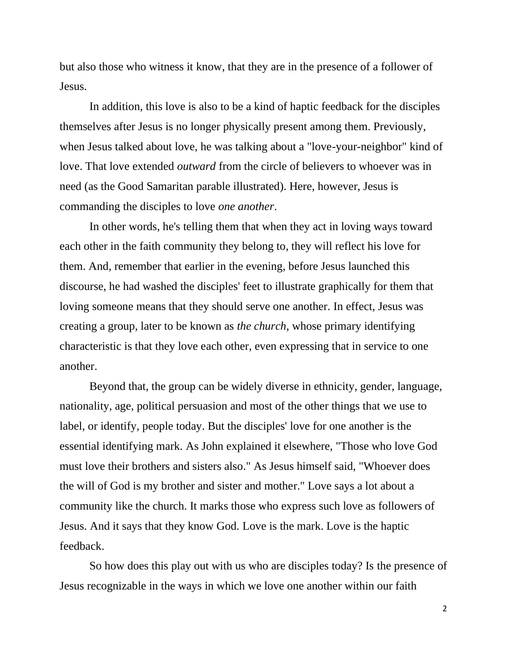but also those who witness it know, that they are in the presence of a follower of Jesus.

In addition, this love is also to be a kind of haptic feedback for the disciples themselves after Jesus is no longer physically present among them. Previously, when Jesus talked about love, he was talking about a "love-your-neighbor" kind of love. That love extended *outward* from the circle of believers to whoever was in need (as the Good Samaritan parable illustrated). Here, however, Jesus is commanding the disciples to love *one another*.

In other words, he's telling them that when they act in loving ways toward each other in the faith community they belong to, they will reflect his love for them. And, remember that earlier in the evening, before Jesus launched this discourse, he had washed the disciples' feet to illustrate graphically for them that loving someone means that they should serve one another. In effect, Jesus was creating a group, later to be known as *the church*, whose primary identifying characteristic is that they love each other, even expressing that in service to one another.

Beyond that, the group can be widely diverse in ethnicity, gender, language, nationality, age, political persuasion and most of the other things that we use to label, or identify, people today. But the disciples' love for one another is the essential identifying mark*.* As John explained it elsewhere, "Those who love God must love their brothers and sisters also." As Jesus himself said, "Whoever does the will of God is my brother and sister and mother." Love says a lot about a community like the church. It marks those who express such love as followers of Jesus. And it says that they know God. Love is the mark. Love is the haptic feedback.

So how does this play out with us who are disciples today? Is the presence of Jesus recognizable in the ways in which we love one another within our faith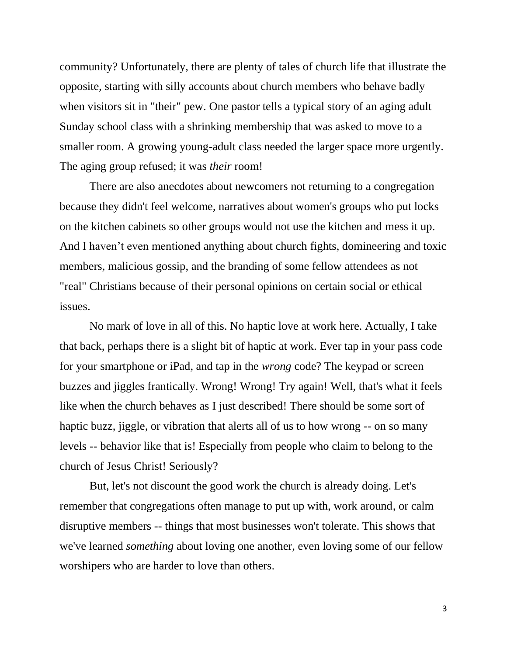community? Unfortunately, there are plenty of tales of church life that illustrate the opposite, starting with silly accounts about church members who behave badly when visitors sit in "their" pew. One pastor tells a typical story of an aging adult Sunday school class with a shrinking membership that was asked to move to a smaller room. A growing young-adult class needed the larger space more urgently. The aging group refused; it was *their* room!

There are also anecdotes about newcomers not returning to a congregation because they didn't feel welcome, narratives about women's groups who put locks on the kitchen cabinets so other groups would not use the kitchen and mess it up. And I haven't even mentioned anything about church fights, domineering and toxic members, malicious gossip, and the branding of some fellow attendees as not "real" Christians because of their personal opinions on certain social or ethical issues.

No mark of love in all of this. No haptic love at work here. Actually, I take that back, perhaps there is a slight bit of haptic at work. Ever tap in your pass code for your smartphone or iPad, and tap in the *wrong* code? The keypad or screen buzzes and jiggles frantically. Wrong! Wrong! Try again! Well, that's what it feels like when the church behaves as I just described! There should be some sort of haptic buzz, jiggle, or vibration that alerts all of us to how wrong -- on so many levels -- behavior like that is! Especially from people who claim to belong to the church of Jesus Christ! Seriously?

But, let's not discount the good work the church is already doing. Let's remember that congregations often manage to put up with, work around, or calm disruptive members -- things that most businesses won't tolerate. This shows that we've learned *something* about loving one another, even loving some of our fellow worshipers who are harder to love than others.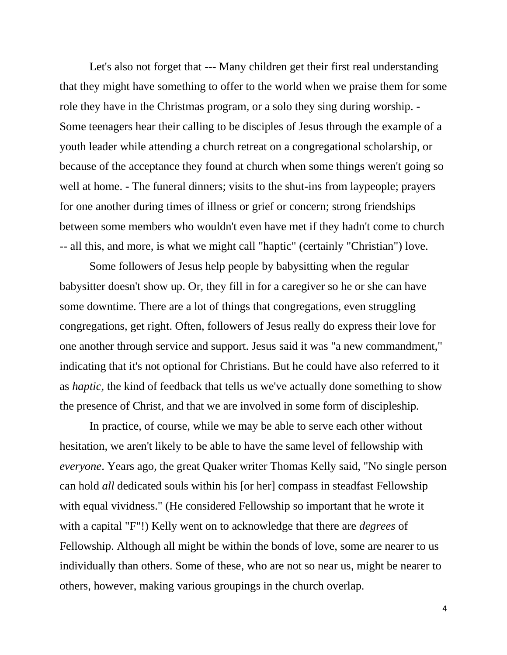Let's also not forget that --- Many children get their first real understanding that they might have something to offer to the world when we praise them for some role they have in the Christmas program, or a solo they sing during worship. - Some teenagers hear their calling to be disciples of Jesus through the example of a youth leader while attending a church retreat on a congregational scholarship, or because of the acceptance they found at church when some things weren't going so well at home. - The funeral dinners; visits to the shut-ins from laypeople; prayers for one another during times of illness or grief or concern; strong friendships between some members who wouldn't even have met if they hadn't come to church -- all this, and more, is what we might call "haptic" (certainly "Christian") love.

Some followers of Jesus help people by babysitting when the regular babysitter doesn't show up. Or, they fill in for a caregiver so he or she can have some downtime. There are a lot of things that congregations, even struggling congregations, get right. Often, followers of Jesus really do express their love for one another through service and support. Jesus said it was "a new commandment," indicating that it's not optional for Christians. But he could have also referred to it as *haptic*, the kind of feedback that tells us we've actually done something to show the presence of Christ, and that we are involved in some form of discipleship*.*

In practice, of course, while we may be able to serve each other without hesitation, we aren't likely to be able to have the same level of fellowship with *everyone*. Years ago, the great Quaker writer Thomas Kelly said, "No single person can hold *all* dedicated souls within his [or her] compass in steadfast Fellowship with equal vividness." (He considered Fellowship so important that he wrote it with a capital "F"!) Kelly went on to acknowledge that there are *degrees* of Fellowship. Although all might be within the bonds of love, some are nearer to us individually than others. Some of these, who are not so near us, might be nearer to others, however, making various groupings in the church overlap.

4